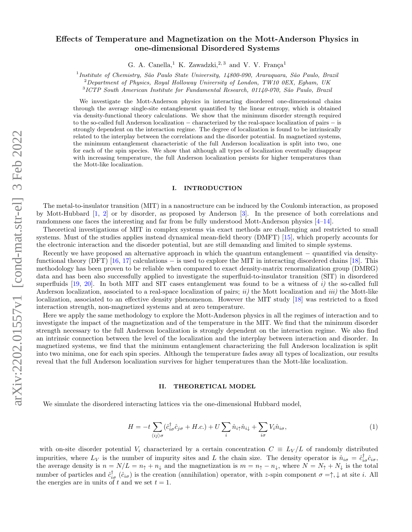# $arXiv:2202.01557v1$  [cond-mat.str-el] 3 Feb 2022 arXiv:2202.01557v1 [cond-mat.str-el] 3 Feb 2022

# Effects of Temperature and Magnetization on the Mott-Anderson Physics in one-dimensional Disordered Systems

G. A. Canella,<sup>1</sup> K. Zawadzki,<sup>2, 3</sup> and V. V. França<sup>1</sup>

<sup>1</sup> Institute of Chemistry, São Paulo State University, 14800-090, Araraquara, São Paulo, Brazil

 $^{2}$ Department of Physics, Royal Holloway University of London, TW10 0EX, Egham, UK

<sup>3</sup>ICTP South American Institute for Fundamental Research, 01140-070, São Paulo, Brazil

We investigate the Mott-Anderson physics in interacting disordered one-dimensional chains through the average single-site entanglement quantified by the linear entropy, which is obtained via density-functional theory calculations. We show that the minimum disorder strength required to the so-called full Anderson localization − characterized by the real-space localization of pairs − is strongly dependent on the interaction regime. The degree of localization is found to be intrinsically related to the interplay between the correlations and the disorder potential. In magnetized systems, the minimum entanglement characteristic of the full Anderson localization is split into two, one for each of the spin species. We show that although all types of localization eventually disappear with increasing temperature, the full Anderson localization persists for higher temperatures than the Mott-like localization.

## I. INTRODUCTION

The metal-to-insulator transition (MIT) in a nanostructure can be induced by the Coulomb interaction, as proposed by Mott-Hubbard [\[1,](#page-4-0) [2\]](#page-4-1) or by disorder, as proposed by Anderson [\[3\]](#page-4-2). In the presence of both correlations and randomness one faces the interesting and far from be fully understood Mott-Anderson physics [\[4–](#page-4-3)[14\]](#page-4-4).

Theoretical investigations of MIT in complex systems via exact methods are challenging and restricted to small systems. Must of the studies applies instead dynamical mean-field theory (DMFT) [\[15\]](#page-4-5), which properly accounts for the electronic interaction and the disorder potential, but are still demanding and limited to simple systems.

Recently we have proposed an alternative approach in which the quantum entanglement − quantified via density-functional theory (DFT) [\[16,](#page-4-6) [17\]](#page-4-7) calculations – is used to explore the MIT in interacting disordered chains [\[18\]](#page-4-8). This methodology has been proven to be reliable when compared to exact density-matrix renormalization group (DMRG) data and has been also successfully applied to investigate the superfluid-to-insulator transition (SIT) in disordered superfluids  $[19, 20]$  $[19, 20]$  $[19, 20]$ . In both MIT and SIT cases entanglement was found to be a witness of i) the so-called full Anderson localization, associated to a real-space localization of pairs;  $ii)$  the Mott localization and  $iii)$  the Mott-like localization, associated to an effective density phenomenon. However the MIT study [\[18\]](#page-4-8) was restricted to a fixed interaction strength, non-magnetized systems and at zero temperature.

Here we apply the same methodology to explore the Mott-Anderson physics in all the regimes of interaction and to investigate the impact of the magnetization and of the temperature in the MIT. We find that the minimum disorder strength necessary to the full Anderson localization is strongly dependent on the interaction regime. We also find an intrinsic connection between the level of the localization and the interplay between interaction and disorder. In magnetized systems, we find that the minimum entanglement characterizing the full Anderson localization is split into two minima, one for each spin species. Although the temperature fades away all types of localization, our results reveal that the full Anderson localization survives for higher temperatures than the Mott-like localization.

### II. THEORETICAL MODEL

We simulate the disordered interacting lattices via the one-dimensional Hubbard model,

$$
H = -t\sum_{\langle ij\rangle\sigma} (\hat{c}_{i\sigma}^{\dagger}\hat{c}_{j\sigma} + H.c.) + U\sum_{i} \hat{n}_{i\uparrow}\hat{n}_{i\downarrow} + \sum_{i\sigma} V_{i}\hat{n}_{i\sigma},\tag{1}
$$

with on-site disorder potential  $V_i$  characterized by a certain concentration  $C \equiv L_V/L$  of randomly distributed impurities, where  $L_V$  is the number of impurity sites and L the chain size. The density operator is  $\hat{n}_{i\sigma} = \hat{c}_{i\sigma}^{\dagger} \hat{c}_{i\sigma}$ , the average density is  $n = N/L = n_{\uparrow} + n_{\downarrow}$  and the magnetization is  $m = n_{\uparrow} - n_{\downarrow}$ , where  $N = N_{\uparrow} + N_{\downarrow}$  is the total number of particles and  $\hat{c}^{\dagger}_{i\sigma}(\hat{c}_{i\sigma})$  is the creation (annihilation) operator, with z-spin component  $\sigma = \uparrow, \downarrow$  at site *i*. All the energies are in units of t and we set  $t = 1$ .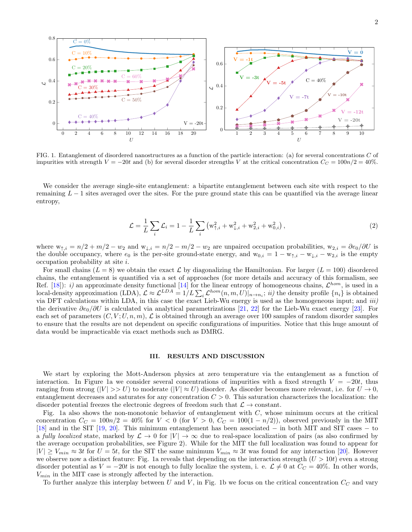

FIG. 1. Entanglement of disordered nanostructures as a function of the particle interaction: (a) for several concentrations C of impurities with strength  $V = -20t$  and (b) for several disorder strengths V at the critical concentration  $C_C = 100n/2 = 40\%$ .

0

 $V = -20t$ 

0 2 4 6 8 10 12 14 16 18 20

 $\bar{U}$ 

40%

 $\sqrt{ }$ 

0.2

0.4

 $\epsilon$ 

0.6

0.8

We consider the average single-site entanglement: a bipartite entanglement between each site with respect to the remaining  $L - 1$  sites averaged over the sites. For the pure ground state this can be quantified via the average linear entropy,

$$
\mathcal{L} = \frac{1}{L} \sum_{i} \mathcal{L}_{i} = 1 - \frac{1}{L} \sum_{i} \left( w_{\uparrow,i}^{2} + w_{\downarrow,i}^{2} + w_{2,i}^{2} + w_{0,i}^{2} \right), \qquad (2)
$$

 $\frac{1}{2}$ 

1 2 3 4 5 6 7 8 9 10

✚ ✚ ✚ ✚ ✚ ✚ ✚ ✚ ✚ ✚  $\bar{U}$ 

✖

✖

✖

where  $w_{\uparrow,i} = n/2 + m/2 - w_2$  and  $w_{\downarrow,i} = n/2 - m/2 - w_2$  are unpaired occupation probabilities,  $w_{2,i} = \partial e_0/\partial U$  is the double occupancy, where  $e_0$  is the per-site ground-state energy, and  $w_{0,i} = 1 - w_{\uparrow,i} - w_{\downarrow,i} - w_{2,i}$  is the empty occupation probability at site i.

For small chains  $(L = 8)$  we obtain the exact L by diagonalizing the Hamiltonian. For larger  $(L = 100)$  disordered chains, the entanglement is quantified via a set of approaches (for more details and accuracy of this formalism, see Ref. [\[18\]](#page-4-8)): *i*) an approximate density functional [\[14\]](#page-4-4) for the linear entropy of homogeneous chains,  $\mathcal{L}^{hom}$ , is used in a local-density approximation (LDA),  $\mathcal{L} \approx \mathcal{L}^{LDA} = 1/L \sum_i \mathcal{L}^{hom}(n, m, U)|_{n \to n_i}$ ; *ii*) the density profile  $\{n_i\}$  is obtained via DFT calculations within LDA, in this case the exact Lieb-Wu energy is used as the homogeneous input; and  $iii$ ) the derivative  $\partial e_0/\partial U$  is calculated via analytical parametrizations [\[21,](#page-4-11) [22\]](#page-4-12) for the Lieb-Wu exact energy [\[23\]](#page-4-13). For each set of parameters  $(C, V; U, n, m)$ ,  $\mathcal L$  is obtained through an average over 100 samples of random disorder samples to ensure that the results are not dependent on specific configurations of impurities. Notice that this huge amount of data would be impracticable via exact methods such as DMRG.

### III. RESULTS AND DISCUSSION

We start by exploring the Mott-Anderson physics at zero temperature via the entanglement as a function of interaction. In Figure 1a we consider several concentrations of impurities with a fixed strength  $V = -20t$ , thus ranging from strong  $(|V| >> U)$  to moderate  $(|V| \approx U)$  disorder. As disorder becomes more relevant, i.e. for  $U \to 0$ , entanglement decreases and saturates for any concentration  $C > 0$ . This saturation characterizes the localization: the disorder potential freezes the electronic degrees of freedom such that  $\mathcal{L} \to$  constant.

Fig. 1a also shows the non-monotonic behavior of entanglement with  $C$ , whose minimum occurs at the critical concentration  $C_C = 100n/2 = 40\%$  for  $V < 0$  (for  $V > 0$ ,  $C_C = 100(1 - n/2)$ ), observed previously in the MIT [\[18\]](#page-4-8) and in the SIT [\[19,](#page-4-9) [20\]](#page-4-10). This minimum entanglement has been associated − in both MIT and SIT cases − to a fully localized state, marked by  $\mathcal{L} \to 0$  for  $|V| \to \infty$  due to real-space localization of pairs (as also confirmed by the average occupation probabilities, see Figure 2). While for the MIT the full localization was found to appear for  $|V| \ge V_{min} \approx 3t$  for  $U = 5t$ , for the SIT the same minimum  $V_{min} \approx 3t$  was found for any interaction [\[20\]](#page-4-10). However we observe now a distinct feature: Fig. 1a reveals that depending on the interaction strength  $(U > 10t)$  even a strong disorder potential as  $V = -20t$  is not enough to fully localize the system, i. e.  $\mathcal{L} \neq 0$  at  $C_C = 40\%$ . In other words,  $V_{min}$  in the MIT case is strongly affected by the interaction.

To further analyze this interplay between U and V, in Fig. 1b we focus on the critical concentration  $C_C$  and vary

 $V = -12t$  $V = -20t$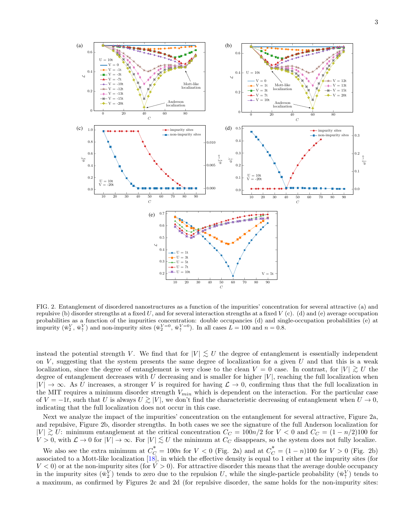

FIG. 2. Entanglement of disordered nanostructures as a function of the impurities' concentration for several attractive (a) and repulsive (b) disorder strengths at a fixed U, and for several interaction strengths at a fixed V (c). (d) and (e) average occupation probabilities as a function of the impurities concentration: double occupancies (d) and single-occupation probabilities (e) at impurity  $(\bar{w}_2^V, \bar{w}_1^V)$  and non-impurity sites  $(\bar{w}_2^{V=0}, \bar{w}_1^{V=0})$ . In all cases  $L = 100$  and  $n = 0.8$ .

instead the potential strength V. We find that for  $|V| \lesssim U$  the degree of entanglement is essentially independent on  $V$ , suggesting that the system presents the same degree of localization for a given  $U$  and that this is a weak localization, since the degree of entanglement is very close to the clean  $V = 0$  case. In contrast, for  $|V| \ge U$  the degree of entanglement decreases with  $U$  decreasing and is smaller for higher  $|V|$ , reaching the full localization when  $|V| \to \infty$ . As U increases, a stronger V is required for having  $\mathcal{L} \to 0$ , confirming thus that the full localization in the MIT requires a minimum disorder strength  $V_{min}$  which is dependent on the interaction. For the particular case of  $V = -1t$ , such that U is always  $U \gtrsim |V|$ , we don't find the characteristic decreasing of entanglement when  $U \to 0$ , indicating that the full localization does not occur in this case.

Next we analyze the impact of the impurities' concentration on the entanglement for several attractive, Figure 2a, and repulsive, Figure 2b, disorder strengths. In both cases we see the signature of the full Anderson localization for  $|V| \gtrsim U$ : minimum entanglement at the critical concentration  $C_C = 100n/2$  for  $V < 0$  and  $C_C = (1 - n/2)100$  for  $V > 0$  with  $C > 0$  for  $|V| > 0$ . For  $|V| \leq U$  the minimum at  $C > 0$  diseppears so the system does not fully l  $V > 0$ , with  $\mathcal{L} \to 0$  for  $|V| \to \infty$ . For  $|V| \lesssim U$  the minimum at  $C_C$  disappears, so the system does not fully localize.

We also see the extra minimum at  $C_C^* = 100n$  for  $V < 0$  (Fig. 2a) and at  $C_C^* = (1 - n)100$  for  $V > 0$  (Fig. 2b) associated to a Mott-like localization  $[18]$ , in which the effective density is equal to 1 either at the impurity sites (for  $V < 0$  or at the non-impurity sites (for  $V > 0$ ). For attractive disorder this means that the average double occupancy in the impurity sites  $(\bar{w}_2^V)$  tends to zero due to the repulsion U, while the single-particle probability  $(\bar{w}_1^V)$  tends to a maximum, as confirmed by Figures 2c and 2d (for repulsive disorder, the same holds for the non-impurity sites: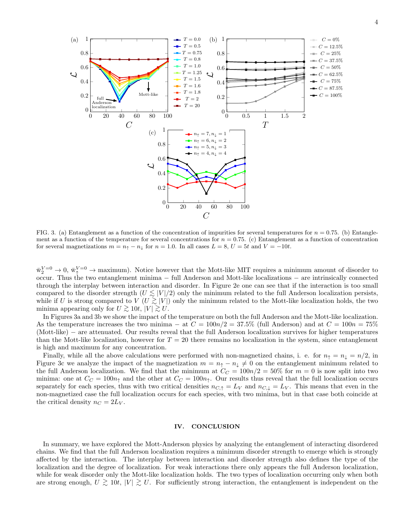

FIG. 3. (a) Entanglement as a function of the concentration of impurities for several temperatures for  $n = 0.75$ . (b) Entanglement as a function of the temperature for several concentrations for  $n = 0.75$ . (c) Entanglement as a function of concentration for several magnetizations  $m = n<sub>1</sub> - n<sub>\downarrow</sub>$  for  $n = 1.0$ . In all cases  $L = 8$ ,  $U = 5t$  and  $V = -10t$ .

 $\bar{w}_2^{V=0} \to 0$ ,  $\bar{w}_1^{V=0} \to \text{maximum}$ . Notice however that the Mott-like MIT requires a minimum amount of disorder to occur. Thus the two entanglement minima − full Anderson and Mott-like localizations − are intrinsically connected through the interplay between interaction and disorder. In Figure 2e one can see that if the interaction is too small compared to the disorder strength  $(U \lesssim |V|/2)$  only the minimum related to the full Anderson localization persists, while if U is strong compared to  $V(U \gtrsim |V|)$  only the minimum related to the Mott-like localization holds, the two minimum approximation of  $|V| > 10$  is strong connection of  $|V| > 10$ minima appearing only for  $U \gtrsim 10t$ ,  $|V| \gtrsim U$ .

In Figures 3a and 3b we show the impact of the temperature on both the full Anderson and the Mott-like localization. As the temperature increases the two minima – at  $C = 100n/2 = 37.5\%$  (full Anderson) and at  $C = 100n = 75\%$ (Mott-like) − are attenuated. Our results reveal that the full Anderson localization survives for higher temperatures than the Mott-like localization, however for  $T = 20$  there remains no localization in the system, since entanglement is high and maximum for any concentration.

Finally, while all the above calculations were performed with non-magnetized chains, i. e. for  $n_{\uparrow} = n_{\downarrow} = n/2$ , in Figure 3c we analyze the impact of the magnetization  $m = n_{\uparrow} - n_{\downarrow} \neq 0$  on the entanglement minimum related to the full Anderson localization. We find that the minimum at  $C_C = 100n/2 = 50\%$  for  $m = 0$  is now split into two minima: one at  $C_C = 100n_\uparrow$  and the other at  $C_C = 100n_\uparrow$ . Our results thus reveal that the full localization occurs separately for each species, thus with two critical densities  $n_{C,\uparrow} = L_V$  and  $n_{C,\downarrow} = L_V$ . This means that even in the non-magnetized case the full localization occurs for each species, with two minima, but in that case both coincide at the critical density  $n_C = 2L_V$ .

### IV. CONCLUSION

In summary, we have explored the Mott-Anderson physics by analyzing the entanglement of interacting disordered chains. We find that the full Anderson localization requires a minimum disorder strength to emerge which is strongly affected by the interaction. The interplay between interaction and disorder strength also defines the type of the localization and the degree of localization. For weak interactions there only appears the full Anderson localization, while for weak disorder only the Mott-like localization holds. The two types of localization occurring only when both are strong enough,  $U \gtrsim 10t$ ,  $|V| \gtrsim U$ . For sufficiently strong interaction, the entanglement is independent on the